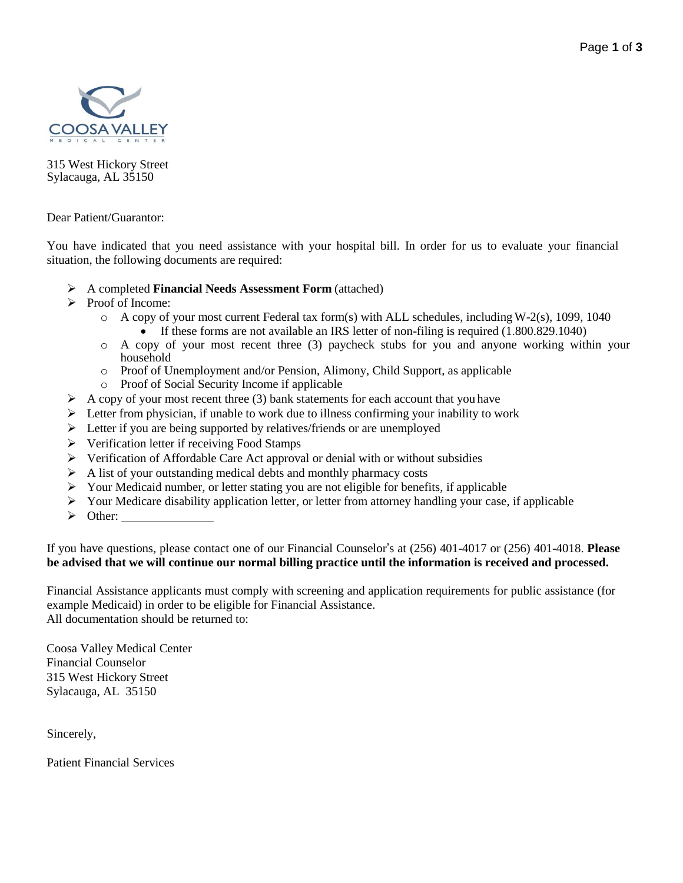

315 West Hickory Street Sylacauga, AL 35150

Dear Patient/Guarantor:

You have indicated that you need assistance with your hospital bill. In order for us to evaluate your financial situation, the following documents are required:

- A completed **Financial Needs Assessment Form** (attached)
- $\triangleright$  Proof of Income:
	- $\circ$  A copy of your most current Federal tax form(s) with ALL schedules, including W-2(s), 1099, 1040 If these forms are not available an IRS letter of non-filing is required (1.800.829.1040)
	- o A copy of your most recent three (3) paycheck stubs for you and anyone working within your household
	- o Proof of Unemployment and/or Pension, Alimony, Child Support, as applicable
	- o Proof of Social Security Income if applicable
- $\triangleright$  A copy of your most recent three (3) bank statements for each account that you have
- $\triangleright$  Letter from physician, if unable to work due to illness confirming your inability to work
- $\triangleright$  Letter if you are being supported by relatives/friends or are unemployed
- $\triangleright$  Verification letter if receiving Food Stamps
- Verification of Affordable Care Act approval or denial with or without subsidies
- $\triangleright$  A list of your outstanding medical debts and monthly pharmacy costs
- $\triangleright$  Your Medicaid number, or letter stating you are not eligible for benefits, if applicable
- $\triangleright$  Your Medicare disability application letter, or letter from attorney handling your case, if applicable
- $\triangleright$  Other:

If you have questions, please contact one of our Financial Counselor's at (256) 401-4017 or (256) 401-4018. **Please be advised that we will continue our normal billing practice until the information is received and processed.**

Financial Assistance applicants must comply with screening and application requirements for public assistance (for example Medicaid) in order to be eligible for Financial Assistance. All documentation should be returned to:

Coosa Valley Medical Center Financial Counselor 315 West Hickory Street Sylacauga, AL 35150

Sincerely,

Patient Financial Services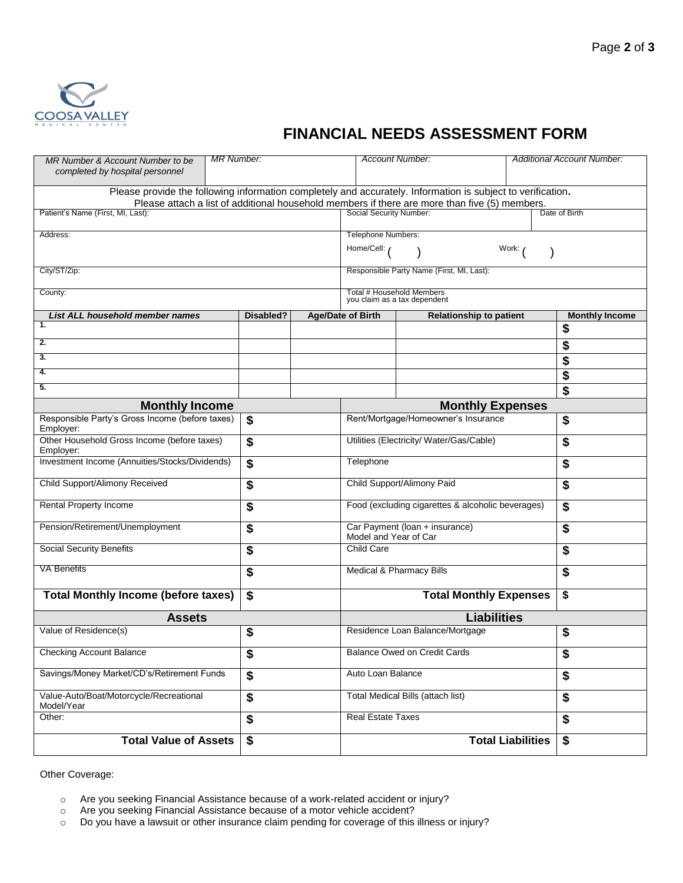

## **FINANCIAL NEEDS ASSESSMENT FORM**

| MR Number & Account Number to be<br>completed by hospital personnel                                         | <b>MR Number:</b> |  | <b>Account Number:</b>                                    |                                | Additional Account Number: |                       |
|-------------------------------------------------------------------------------------------------------------|-------------------|--|-----------------------------------------------------------|--------------------------------|----------------------------|-----------------------|
| Please provide the following information completely and accurately. Information is subject to verification. |                   |  |                                                           |                                |                            |                       |
| Please attach a list of additional household members if there are more than five (5) members.               |                   |  |                                                           |                                |                            |                       |
| Patient's Name (First, MI, Last):                                                                           |                   |  | Social Security Number:<br>Date of Birth                  |                                |                            |                       |
| Address:                                                                                                    |                   |  | Telephone Numbers:                                        |                                |                            |                       |
|                                                                                                             |                   |  | Home/Cell:<br>Work:                                       |                                |                            |                       |
| City/ST/Zip:                                                                                                |                   |  | Responsible Party Name (First, MI, Last):                 |                                |                            |                       |
| County:                                                                                                     |                   |  | Total # Household Members<br>you claim as a tax dependent |                                |                            |                       |
| List ALL household member names                                                                             | Disabled?         |  | <b>Age/Date of Birth</b>                                  | <b>Relationship to patient</b> |                            | <b>Monthly Income</b> |
| 1.                                                                                                          |                   |  |                                                           |                                |                            | \$                    |
| $\overline{2}$ .                                                                                            |                   |  |                                                           |                                |                            | \$                    |
| 3.                                                                                                          |                   |  |                                                           |                                |                            | \$                    |
| 4.                                                                                                          |                   |  |                                                           |                                |                            | \$                    |
| 5.                                                                                                          |                   |  |                                                           |                                |                            | \$                    |
| <b>Monthly Income</b>                                                                                       |                   |  | <b>Monthly Expenses</b>                                   |                                |                            |                       |
| Responsible Party's Gross Income (before taxes)<br>Employer:                                                | \$                |  | Rent/Mortgage/Homeowner's Insurance                       |                                | \$                         |                       |
| Other Household Gross Income (before taxes)<br>Employer:                                                    | \$                |  | Utilities (Electricity/ Water/Gas/Cable)                  |                                | \$                         |                       |
| Investment Income (Annuities/Stocks/Dividends)                                                              | \$                |  | Telephone                                                 |                                | \$                         |                       |
| Child Support/Alimony Received                                                                              | \$                |  | Child Support/Alimony Paid                                |                                | \$                         |                       |
| Rental Property Income                                                                                      | \$                |  | Food (excluding cigarettes & alcoholic beverages)         |                                | \$                         |                       |
| Pension/Retirement/Unemployment                                                                             | \$                |  | Car Payment (loan + insurance)<br>Model and Year of Car   |                                | \$                         |                       |
| <b>Social Security Benefits</b>                                                                             | \$                |  | <b>Child Care</b>                                         |                                | \$                         |                       |
| <b>VA Benefits</b>                                                                                          | \$                |  | Medical & Pharmacy Bills                                  |                                | \$                         |                       |
| <b>Total Monthly Income (before taxes)</b>                                                                  | \$                |  | <b>Total Monthly Expenses</b>                             |                                | \$                         |                       |
| <b>Assets</b>                                                                                               |                   |  | <b>Liabilities</b>                                        |                                |                            |                       |
| Value of Residence(s)                                                                                       | \$                |  | Residence Loan Balance/Mortgage                           |                                | \$                         |                       |
| <b>Checking Account Balance</b>                                                                             | \$                |  | <b>Balance Owed on Credit Cards</b>                       |                                | \$                         |                       |
| Savings/Money Market/CD's/Retirement Funds                                                                  | \$                |  | Auto Loan Balance                                         |                                | \$                         |                       |
| Value-Auto/Boat/Motorcycle/Recreational<br>Model/Year                                                       | \$                |  | <b>Total Medical Bills (attach list)</b>                  |                                | \$                         |                       |
| Other:                                                                                                      | \$                |  | Real Estate Taxes                                         |                                | \$                         |                       |
| <b>Total Value of Assets</b>                                                                                | \$                |  | <b>Total Liabilities</b>                                  |                                |                            | \$                    |

Other Coverage:

- o Are you seeking Financial Assistance because of a work-related accident or injury?
- o Are you seeking Financial Assistance because of a motor vehicle accident?
- o Do you have a lawsuit or other insurance claim pending for coverage of this illness or injury?